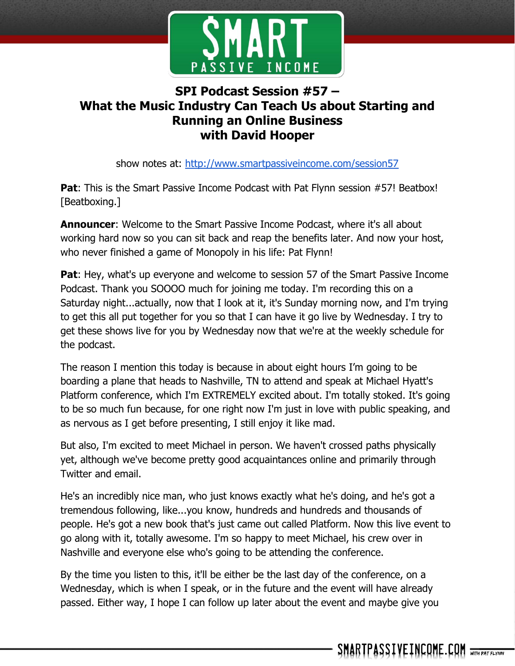

## **SPI Podcast Session #57 – What the Music Industry Can Teach Us about Starting and Running an Online Business with David Hooper**

show notes at: http://www.smartpassiveincome.com/session57

**Pat:** This is the Smart Passive Income Podcast with Pat Flynn session #57! Beatbox! [Beatboxing.]

**Announcer**: Welcome to the Smart Passive Income Podcast, where it's all about working hard now so you can sit back and reap the benefits later. And now your host, who never finished a game of Monopoly in his life: Pat Flynn!

**Pat:** Hey, what's up everyone and welcome to session 57 of the Smart Passive Income Podcast. Thank you SOOOO much for joining me today. I'm recording this on a Saturday night...actually, now that I look at it, it's Sunday morning now, and I'm trying to get this all put together for you so that I can have it go live by Wednesday. I try to get these shows live for you by Wednesday now that we're at the weekly schedule for the podcast.

The reason I mention this today is because in about eight hours I'm going to be boarding a plane that heads to Nashville, TN to attend and speak at Michael Hyatt's Platform conference, which I'm EXTREMELY excited about. I'm totally stoked. It's going to be so much fun because, for one right now I'm just in love with public speaking, and as nervous as I get before presenting, I still enjoy it like mad.

But also, I'm excited to meet Michael in person. We haven't crossed paths physically yet, although we've become pretty good acquaintances online and primarily through Twitter and email.

He's an incredibly nice man, who just knows exactly what he's doing, and he's got a tremendous following, like...you know, hundreds and hundreds and thousands of people. He's got a new book that's just came out called Platform. Now this live event to go along with it, totally awesome. I'm so happy to meet Michael, his crew over in Nashville and everyone else who's going to be attending the conference.

By the time you listen to this, it'll be either be the last day of the conference, on a Wednesday, which is when I speak, or in the future and the event will have already passed. Either way, I hope I can follow up later about the event and maybe give you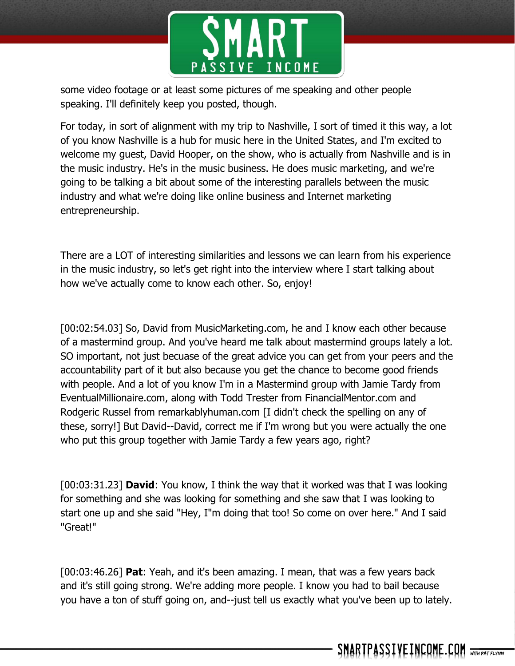

some video footage or at least some pictures of me speaking and other people speaking. I'll definitely keep you posted, though.

For today, in sort of alignment with my trip to Nashville, I sort of timed it this way, a lot of you know Nashville is a hub for music here in the United States, and I'm excited to welcome my guest, David Hooper, on the show, who is actually from Nashville and is in the music industry. He's in the music business. He does music marketing, and we're going to be talking a bit about some of the interesting parallels between the music industry and what we're doing like online business and Internet marketing entrepreneurship.

There are a LOT of interesting similarities and lessons we can learn from his experience in the music industry, so let's get right into the interview where I start talking about how we've actually come to know each other. So, enjoy!

[00:02:54.03] So, David from MusicMarketing.com, he and I know each other because of a mastermind group. And you've heard me talk about mastermind groups lately a lot. SO important, not just becuase of the great advice you can get from your peers and the accountability part of it but also because you get the chance to become good friends with people. And a lot of you know I'm in a Mastermind group with Jamie Tardy from EventualMillionaire.com, along with Todd Trester from FinancialMentor.com and Rodgeric Russel from remarkablyhuman.com [I didn't check the spelling on any of these, sorry!] But David--David, correct me if I'm wrong but you were actually the one who put this group together with Jamie Tardy a few years ago, right?

[00:03:31.23] **David**: You know, I think the way that it worked was that I was looking for something and she was looking for something and she saw that I was looking to start one up and she said "Hey, I"m doing that too! So come on over here." And I said "Great!"

[00:03:46.26] **Pat**: Yeah, and it's been amazing. I mean, that was a few years back and it's still going strong. We're adding more people. I know you had to bail because you have a ton of stuff going on, and--just tell us exactly what you've been up to lately.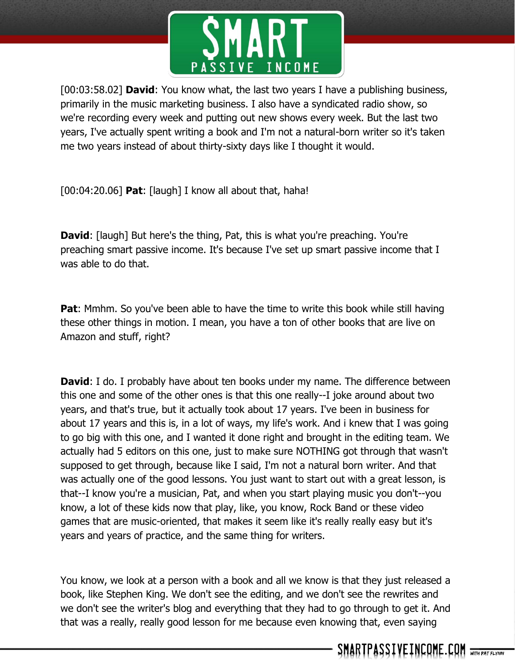

[00:03:58.02] **David**: You know what, the last two years I have a publishing business, primarily in the music marketing business. I also have a syndicated radio show, so we're recording every week and putting out new shows every week. But the last two years, I've actually spent writing a book and I'm not a natural-born writer so it's taken me two years instead of about thirty-sixty days like I thought it would.

[00:04:20.06] **Pat**: [laugh] I know all about that, haha!

**David:** [laugh] But here's the thing, Pat, this is what you're preaching. You're preaching smart passive income. It's because I've set up smart passive income that I was able to do that.

**Pat:** Mmhm. So you've been able to have the time to write this book while still having these other things in motion. I mean, you have a ton of other books that are live on Amazon and stuff, right?

**David**: I do. I probably have about ten books under my name. The difference between this one and some of the other ones is that this one really--I joke around about two years, and that's true, but it actually took about 17 years. I've been in business for about 17 years and this is, in a lot of ways, my life's work. And i knew that I was going to go big with this one, and I wanted it done right and brought in the editing team. We actually had 5 editors on this one, just to make sure NOTHING got through that wasn't supposed to get through, because like I said, I'm not a natural born writer. And that was actually one of the good lessons. You just want to start out with a great lesson, is that--I know you're a musician, Pat, and when you start playing music you don't--you know, a lot of these kids now that play, like, you know, Rock Band or these video games that are music-oriented, that makes it seem like it's really really easy but it's years and years of practice, and the same thing for writers.

You know, we look at a person with a book and all we know is that they just released a book, like Stephen King. We don't see the editing, and we don't see the rewrites and we don't see the writer's blog and everything that they had to go through to get it. And that was a really, really good lesson for me because even knowing that, even saying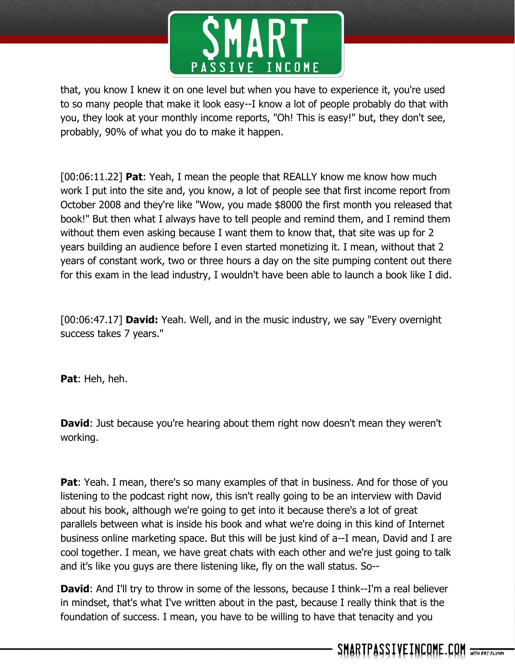

that, you know I knew it on one level but when you have to experience it, you're used to so many people that make it look easy--I know a lot of people probably do that with you, they look at your monthly income reports, "Oh! This is easy!" but, they don't see, probably, 90% of what you do to make it happen.

[00:06:11.22] **Pat**: Yeah, I mean the people that REALLY know me know how much work I put into the site and, you know, a lot of people see that first income report from October 2008 and they're like "Wow, you made \$8000 the first month you released that book!" But then what I always have to tell people and remind them, and I remind them without them even asking because I want them to know that, that site was up for 2 years building an audience before I even started monetizing it. I mean, without that 2 years of constant work, two or three hours a day on the site pumping content out there for this exam in the lead industry, I wouldn't have been able to launch a book like I did.

[00:06:47.17] **David:** Yeah. Well, and in the music industry, we say "Every overnight success takes 7 years."

**Pat**: Heh, heh.

**David:** Just because you're hearing about them right now doesn't mean they weren't working.

**Pat:** Yeah. I mean, there's so many examples of that in business. And for those of you listening to the podcast right now, this isn't really going to be an interview with David about his book, although we're going to get into it because there's a lot of great parallels between what is inside his book and what we're doing in this kind of Internet business online marketing space. But this will be just kind of a--I mean, David and I are cool together. I mean, we have great chats with each other and we're just going to talk and it's like you guys are there listening like, fly on the wall status. So--

**David:** And I'll try to throw in some of the lessons, because I think--I'm a real believer in mindset, that's what I've written about in the past, because I really think that is the foundation of success. I mean, you have to be willing to have that tenacity and you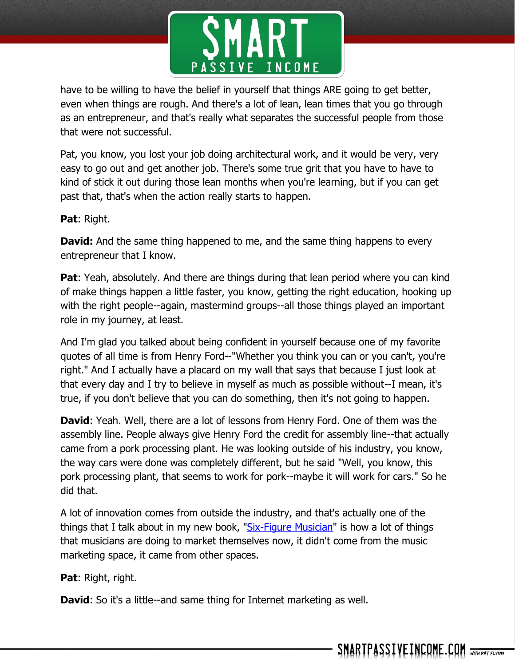

have to be willing to have the belief in yourself that things ARE going to get better, even when things are rough. And there's a lot of lean, lean times that you go through as an entrepreneur, and that's really what separates the successful people from those that were not successful.

Pat, you know, you lost your job doing architectural work, and it would be very, very easy to go out and get another job. There's some true grit that you have to have to kind of stick it out during those lean months when you're learning, but if you can get past that, that's when the action really starts to happen.

**Pat**: Right.

**David:** And the same thing happened to me, and the same thing happens to every entrepreneur that I know.

**Pat**: Yeah, absolutely. And there are things during that lean period where you can kind of make things happen a little faster, you know, getting the right education, hooking up with the right people--again, mastermind groups--all those things played an important role in my journey, at least.

And I'm glad you talked about being confident in yourself because one of my favorite quotes of all time is from Henry Ford--"Whether you think you can or you can't, you're right." And I actually have a placard on my wall that says that because I just look at that every day and I try to believe in myself as much as possible without--I mean, it's true, if you don't believe that you can do something, then it's not going to happen.

**David**: Yeah. Well, there are a lot of lessons from Henry Ford. One of them was the assembly line. People always give Henry Ford the credit for assembly line--that actually came from a pork processing plant. He was looking outside of his industry, you know, the way cars were done was completely different, but he said "Well, you know, this pork processing plant, that seems to work for pork--maybe it will work for cars." So he did that.

A lot of innovation comes from outside the industry, and that's actually one of the things that I talk about in my new book, ["Six-Figure Musician"](http://musicianbook.com/) is how a lot of things that musicians are doing to market themselves now, it didn't come from the music marketing space, it came from other spaces.

**Pat**: Right, right.

**David**: So it's a little--and same thing for Internet marketing as well.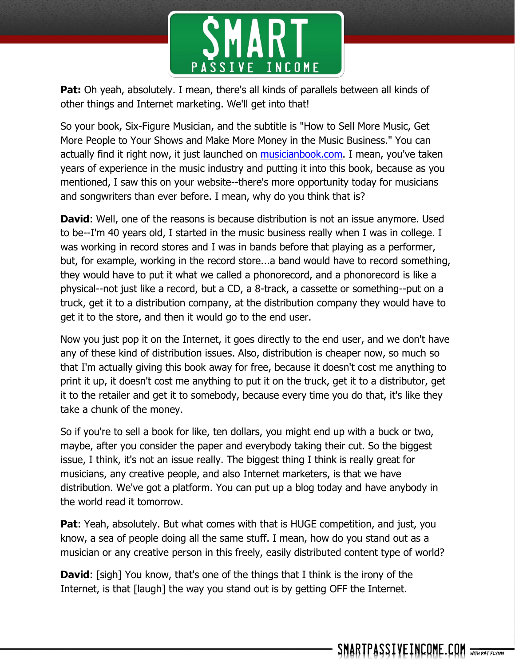

**Pat:** Oh yeah, absolutely. I mean, there's all kinds of parallels between all kinds of other things and Internet marketing. We'll get into that!

So your book, Six-Figure Musician, and the subtitle is "How to Sell More Music, Get More People to Your Shows and Make More Money in the Music Business." You can actually find it right now, it just launched on [musicianbook.com.](http://musicianbook.com/) I mean, you've taken years of experience in the music industry and putting it into this book, because as you mentioned, I saw this on your website--there's more opportunity today for musicians and songwriters than ever before. I mean, why do you think that is?

**David:** Well, one of the reasons is because distribution is not an issue anymore. Used to be--I'm 40 years old, I started in the music business really when I was in college. I was working in record stores and I was in bands before that playing as a performer, but, for example, working in the record store...a band would have to record something, they would have to put it what we called a phonorecord, and a phonorecord is like a physical--not just like a record, but a CD, a 8-track, a cassette or something--put on a truck, get it to a distribution company, at the distribution company they would have to get it to the store, and then it would go to the end user.

Now you just pop it on the Internet, it goes directly to the end user, and we don't have any of these kind of distribution issues. Also, distribution is cheaper now, so much so that I'm actually giving this book away for free, because it doesn't cost me anything to print it up, it doesn't cost me anything to put it on the truck, get it to a distributor, get it to the retailer and get it to somebody, because every time you do that, it's like they take a chunk of the money.

So if you're to sell a book for like, ten dollars, you might end up with a buck or two, maybe, after you consider the paper and everybody taking their cut. So the biggest issue, I think, it's not an issue really. The biggest thing I think is really great for musicians, any creative people, and also Internet marketers, is that we have distribution. We've got a platform. You can put up a blog today and have anybody in the world read it tomorrow.

**Pat:** Yeah, absolutely. But what comes with that is HUGE competition, and just, you know, a sea of people doing all the same stuff. I mean, how do you stand out as a musician or any creative person in this freely, easily distributed content type of world?

**David:** [sigh] You know, that's one of the things that I think is the irony of the Internet, is that [laugh] the way you stand out is by getting OFF the Internet.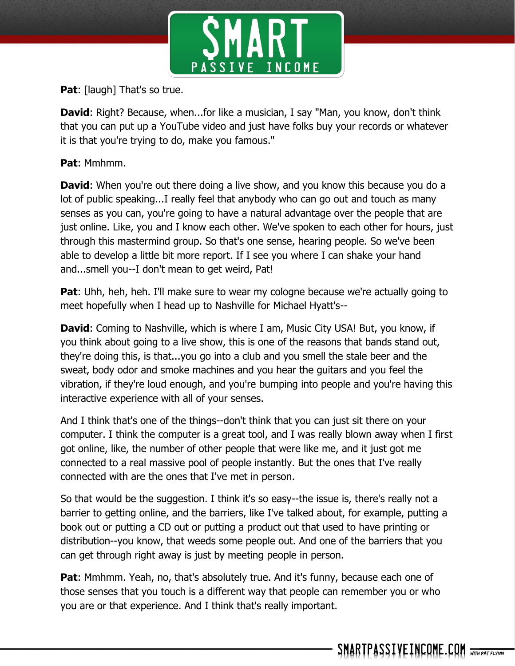

**Pat:** [laugh] That's so true.

**David:** Right? Because, when...for like a musician, I say "Man, you know, don't think that you can put up a YouTube video and just have folks buy your records or whatever it is that you're trying to do, make you famous."

**Pat**: Mmhmm.

**David:** When you're out there doing a live show, and you know this because you do a lot of public speaking...I really feel that anybody who can go out and touch as many senses as you can, you're going to have a natural advantage over the people that are just online. Like, you and I know each other. We've spoken to each other for hours, just through this mastermind group. So that's one sense, hearing people. So we've been able to develop a little bit more report. If I see you where I can shake your hand and...smell you--I don't mean to get weird, Pat!

**Pat**: Uhh, heh, heh. I'll make sure to wear my cologne because we're actually going to meet hopefully when I head up to Nashville for Michael Hyatt's--

**David:** Coming to Nashville, which is where I am, Music City USA! But, you know, if you think about going to a live show, this is one of the reasons that bands stand out, they're doing this, is that...you go into a club and you smell the stale beer and the sweat, body odor and smoke machines and you hear the guitars and you feel the vibration, if they're loud enough, and you're bumping into people and you're having this interactive experience with all of your senses.

And I think that's one of the things--don't think that you can just sit there on your computer. I think the computer is a great tool, and I was really blown away when I first got online, like, the number of other people that were like me, and it just got me connected to a real massive pool of people instantly. But the ones that I've really connected with are the ones that I've met in person.

So that would be the suggestion. I think it's so easy--the issue is, there's really not a barrier to getting online, and the barriers, like I've talked about, for example, putting a book out or putting a CD out or putting a product out that used to have printing or distribution--you know, that weeds some people out. And one of the barriers that you can get through right away is just by meeting people in person.

**Pat:** Mmhmm. Yeah, no, that's absolutely true. And it's funny, because each one of those senses that you touch is a different way that people can remember you or who you are or that experience. And I think that's really important.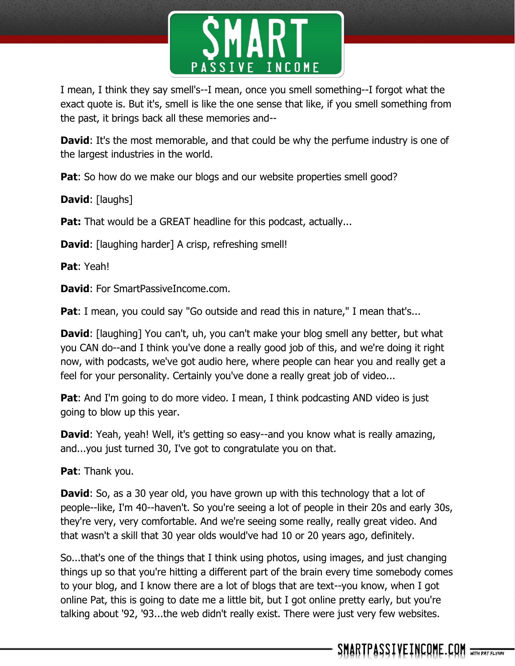

I mean, I think they say smell's--I mean, once you smell something--I forgot what the exact quote is. But it's, smell is like the one sense that like, if you smell something from the past, it brings back all these memories and--

**David:** It's the most memorable, and that could be why the perfume industry is one of the largest industries in the world.

**Pat**: So how do we make our blogs and our website properties smell good?

**David**: [laughs]

**Pat:** That would be a GREAT headline for this podcast, actually...

**David:** [laughing harder] A crisp, refreshing smell!

**Pat**: Yeah!

**David**: For SmartPassiveIncome.com.

**Pat**: I mean, you could say "Go outside and read this in nature," I mean that's...

**David**: [laughing] You can't, uh, you can't make your blog smell any better, but what you CAN do--and I think you've done a really good job of this, and we're doing it right now, with podcasts, we've got audio here, where people can hear you and really get a feel for your personality. Certainly you've done a really great job of video...

**Pat**: And I'm going to do more video. I mean, I think podcasting AND video is just going to blow up this year.

**David:** Yeah, yeah! Well, it's getting so easy--and you know what is really amazing, and...you just turned 30, I've got to congratulate you on that.

**Pat**: Thank you.

**David:** So, as a 30 year old, you have grown up with this technology that a lot of people--like, I'm 40--haven't. So you're seeing a lot of people in their 20s and early 30s, they're very, very comfortable. And we're seeing some really, really great video. And that wasn't a skill that 30 year olds would've had 10 or 20 years ago, definitely.

So...that's one of the things that I think using photos, using images, and just changing things up so that you're hitting a different part of the brain every time somebody comes to your blog, and I know there are a lot of blogs that are text--you know, when I got online Pat, this is going to date me a little bit, but I got online pretty early, but you're talking about '92, '93...the web didn't really exist. There were just very few websites.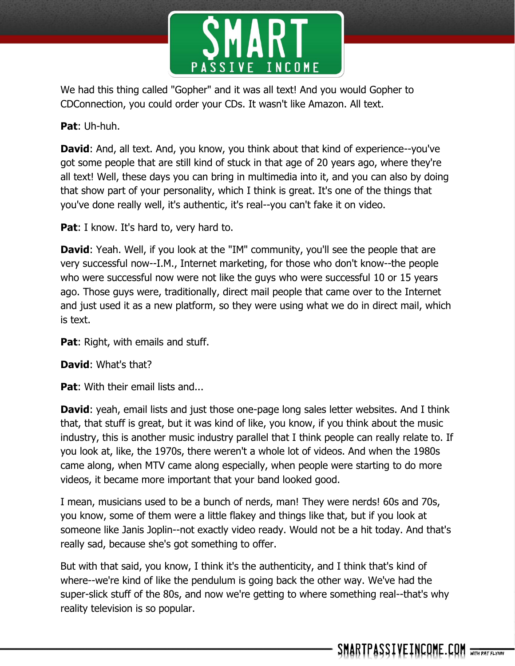

We had this thing called "Gopher" and it was all text! And you would Gopher to CDConnection, you could order your CDs. It wasn't like Amazon. All text.

**Pat**: Uh-huh.

**David:** And, all text. And, you know, you think about that kind of experience--you've got some people that are still kind of stuck in that age of 20 years ago, where they're all text! Well, these days you can bring in multimedia into it, and you can also by doing that show part of your personality, which I think is great. It's one of the things that you've done really well, it's authentic, it's real--you can't fake it on video.

**Pat:** I know. It's hard to, very hard to.

**David:** Yeah. Well, if you look at the "IM" community, you'll see the people that are very successful now--I.M., Internet marketing, for those who don't know--the people who were successful now were not like the guys who were successful 10 or 15 years ago. Those guys were, traditionally, direct mail people that came over to the Internet and just used it as a new platform, so they were using what we do in direct mail, which is text.

**Pat**: Right, with emails and stuff.

**David**: What's that?

**Pat:** With their email lists and...

**David:** yeah, email lists and just those one-page long sales letter websites. And I think that, that stuff is great, but it was kind of like, you know, if you think about the music industry, this is another music industry parallel that I think people can really relate to. If you look at, like, the 1970s, there weren't a whole lot of videos. And when the 1980s came along, when MTV came along especially, when people were starting to do more videos, it became more important that your band looked good.

I mean, musicians used to be a bunch of nerds, man! They were nerds! 60s and 70s, you know, some of them were a little flakey and things like that, but if you look at someone like Janis Joplin--not exactly video ready. Would not be a hit today. And that's really sad, because she's got something to offer.

But with that said, you know, I think it's the authenticity, and I think that's kind of where--we're kind of like the pendulum is going back the other way. We've had the super-slick stuff of the 80s, and now we're getting to where something real--that's why reality television is so popular.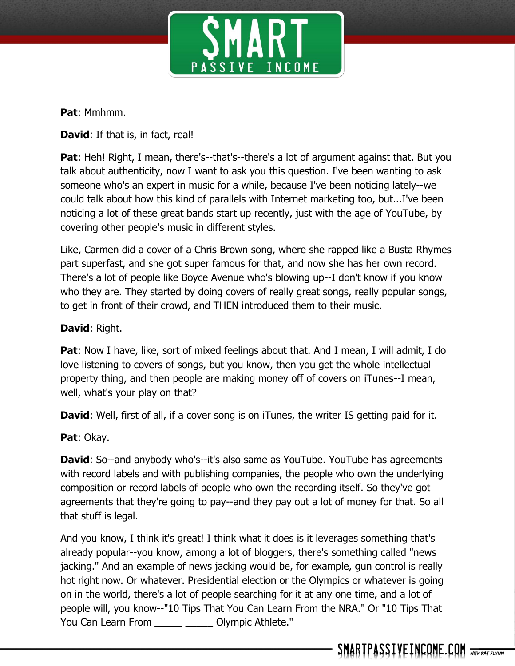

**Pat**: Mmhmm.

**David:** If that is, in fact, real!

Pat: Heh! Right, I mean, there's--that's--there's a lot of argument against that. But you talk about authenticity, now I want to ask you this question. I've been wanting to ask someone who's an expert in music for a while, because I've been noticing lately--we could talk about how this kind of parallels with Internet marketing too, but...I've been noticing a lot of these great bands start up recently, just with the age of YouTube, by covering other people's music in different styles.

Like, Carmen did a cover of a Chris Brown song, where she rapped like a Busta Rhymes part superfast, and she got super famous for that, and now she has her own record. There's a lot of people like Boyce Avenue who's blowing up--I don't know if you know who they are. They started by doing covers of really great songs, really popular songs, to get in front of their crowd, and THEN introduced them to their music.

## **David**: Right.

**Pat**: Now I have, like, sort of mixed feelings about that. And I mean, I will admit, I do love listening to covers of songs, but you know, then you get the whole intellectual property thing, and then people are making money off of covers on iTunes--I mean, well, what's your play on that?

**David:** Well, first of all, if a cover song is on iTunes, the writer IS getting paid for it.

**Pat**: Okay.

**David:** So--and anybody who's--it's also same as YouTube. YouTube has agreements with record labels and with publishing companies, the people who own the underlying composition or record labels of people who own the recording itself. So they've got agreements that they're going to pay--and they pay out a lot of money for that. So all that stuff is legal.

And you know, I think it's great! I think what it does is it leverages something that's already popular--you know, among a lot of bloggers, there's something called "news jacking." And an example of news jacking would be, for example, gun control is really hot right now. Or whatever. Presidential election or the Olympics or whatever is going on in the world, there's a lot of people searching for it at any one time, and a lot of people will, you know--"10 Tips That You Can Learn From the NRA." Or "10 Tips That You Can Learn From \_\_\_\_\_ \_\_\_\_\_\_ Olympic Athlete."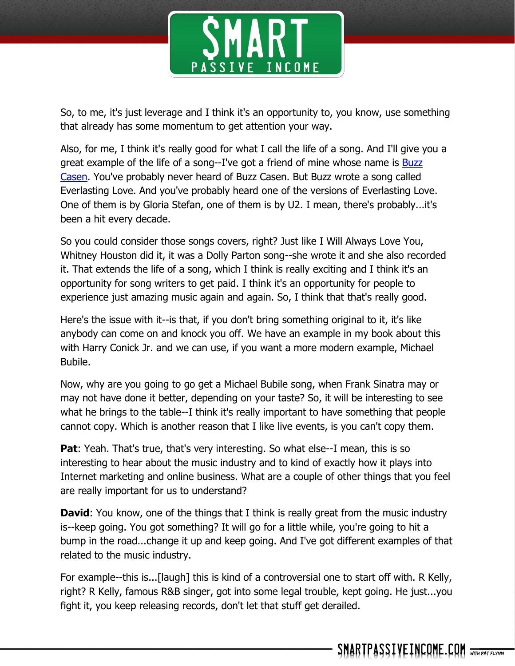

So, to me, it's just leverage and I think it's an opportunity to, you know, use something that already has some momentum to get attention your way.

Also, for me, I think it's really good for what I call the life of a song. And I'll give you a great example of the life of a song--I've got a friend of mine whose name is Buzz [Casen.](http://www.buzzcason.com/) You've probably never heard of Buzz Casen. But Buzz wrote a song called Everlasting Love. And you've probably heard one of the versions of Everlasting Love. One of them is by Gloria Stefan, one of them is by U2. I mean, there's probably...it's been a hit every decade.

So you could consider those songs covers, right? Just like I Will Always Love You, Whitney Houston did it, it was a Dolly Parton song--she wrote it and she also recorded it. That extends the life of a song, which I think is really exciting and I think it's an opportunity for song writers to get paid. I think it's an opportunity for people to experience just amazing music again and again. So, I think that that's really good.

Here's the issue with it--is that, if you don't bring something original to it, it's like anybody can come on and knock you off. We have an example in my book about this with Harry Conick Jr. and we can use, if you want a more modern example, Michael Bubile.

Now, why are you going to go get a Michael Bubile song, when Frank Sinatra may or may not have done it better, depending on your taste? So, it will be interesting to see what he brings to the table--I think it's really important to have something that people cannot copy. Which is another reason that I like live events, is you can't copy them.

**Pat**: Yeah. That's true, that's very interesting. So what else--I mean, this is so interesting to hear about the music industry and to kind of exactly how it plays into Internet marketing and online business. What are a couple of other things that you feel are really important for us to understand?

**David**: You know, one of the things that I think is really great from the music industry is--keep going. You got something? It will go for a little while, you're going to hit a bump in the road...change it up and keep going. And I've got different examples of that related to the music industry.

For example--this is...[laugh] this is kind of a controversial one to start off with. R Kelly, right? R Kelly, famous R&B singer, got into some legal trouble, kept going. He just...you fight it, you keep releasing records, don't let that stuff get derailed.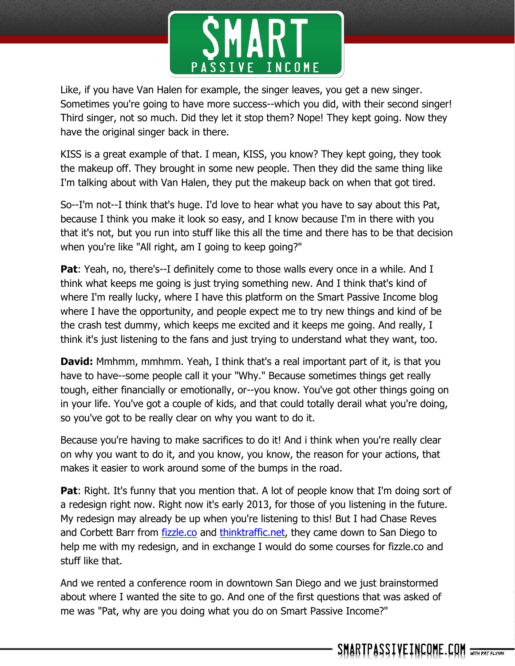

Like, if you have Van Halen for example, the singer leaves, you get a new singer. Sometimes you're going to have more success--which you did, with their second singer! Third singer, not so much. Did they let it stop them? Nope! They kept going. Now they have the original singer back in there.

KISS is a great example of that. I mean, KISS, you know? They kept going, they took the makeup off. They brought in some new people. Then they did the same thing like I'm talking about with Van Halen, they put the makeup back on when that got tired.

So--I'm not--I think that's huge. I'd love to hear what you have to say about this Pat, because I think you make it look so easy, and I know because I'm in there with you that it's not, but you run into stuff like this all the time and there has to be that decision when you're like "All right, am I going to keep going?"

**Pat**: Yeah, no, there's--I definitely come to those walls every once in a while. And I think what keeps me going is just trying something new. And I think that's kind of where I'm really lucky, where I have this platform on the Smart Passive Income blog where I have the opportunity, and people expect me to try new things and kind of be the crash test dummy, which keeps me excited and it keeps me going. And really, I think it's just listening to the fans and just trying to understand what they want, too.

**David:** Mmhmm, mmhmm. Yeah, I think that's a real important part of it, is that you have to have--some people call it your "Why." Because sometimes things get really tough, either financially or emotionally, or--you know. You've got other things going on in your life. You've got a couple of kids, and that could totally derail what you're doing, so you've got to be really clear on why you want to do it.

Because you're having to make sacrifices to do it! And i think when you're really clear on why you want to do it, and you know, you know, the reason for your actions, that makes it easier to work around some of the bumps in the road.

**Pat:** Right. It's funny that you mention that. A lot of people know that I'm doing sort of a redesign right now. Right now it's early 2013, for those of you listening in the future. My redesign may already be up when you're listening to this! But I had Chase Reves and Corbett Barr from *fizzle.co* and *thinktraffic.net*, they came down to San Diego to help me with my redesign, and in exchange I would do some courses for fizzle.co and stuff like that.

And we rented a conference room in downtown San Diego and we just brainstormed about where I wanted the site to go. And one of the first questions that was asked of me was "Pat, why are you doing what you do on Smart Passive Income?"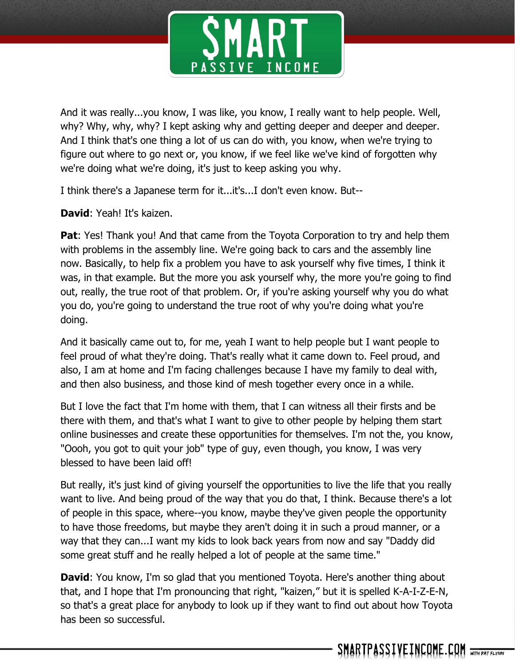

And it was really...you know, I was like, you know, I really want to help people. Well, why? Why, why, why? I kept asking why and getting deeper and deeper and deeper. And I think that's one thing a lot of us can do with, you know, when we're trying to figure out where to go next or, you know, if we feel like we've kind of forgotten why we're doing what we're doing, it's just to keep asking you why.

I think there's a Japanese term for it...it's...I don't even know. But--

**David**: Yeah! It's kaizen.

**Pat:** Yes! Thank you! And that came from the Toyota Corporation to try and help them with problems in the assembly line. We're going back to cars and the assembly line now. Basically, to help fix a problem you have to ask yourself why five times, I think it was, in that example. But the more you ask yourself why, the more you're going to find out, really, the true root of that problem. Or, if you're asking yourself why you do what you do, you're going to understand the true root of why you're doing what you're doing.

And it basically came out to, for me, yeah I want to help people but I want people to feel proud of what they're doing. That's really what it came down to. Feel proud, and also, I am at home and I'm facing challenges because I have my family to deal with, and then also business, and those kind of mesh together every once in a while.

But I love the fact that I'm home with them, that I can witness all their firsts and be there with them, and that's what I want to give to other people by helping them start online businesses and create these opportunities for themselves. I'm not the, you know, "Oooh, you got to quit your job" type of guy, even though, you know, I was very blessed to have been laid off!

But really, it's just kind of giving yourself the opportunities to live the life that you really want to live. And being proud of the way that you do that, I think. Because there's a lot of people in this space, where--you know, maybe they've given people the opportunity to have those freedoms, but maybe they aren't doing it in such a proud manner, or a way that they can...I want my kids to look back years from now and say "Daddy did some great stuff and he really helped a lot of people at the same time."

**David:** You know, I'm so glad that you mentioned Toyota. Here's another thing about that, and I hope that I'm pronouncing that right, "kaizen," but it is spelled K-A-I-Z-E-N, so that's a great place for anybody to look up if they want to find out about how Toyota has been so successful.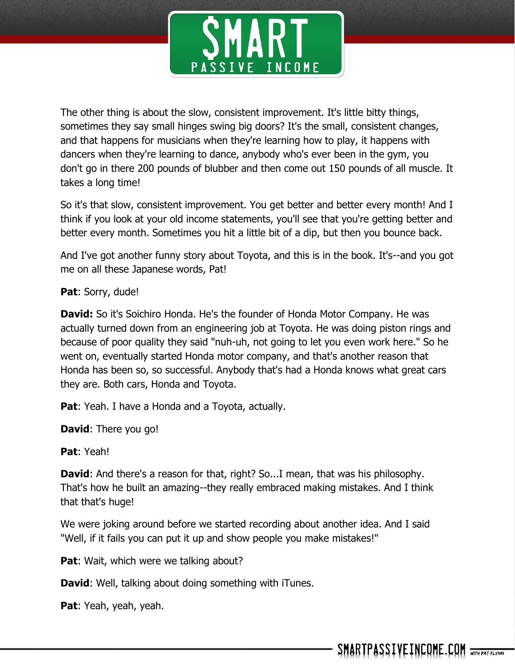

The other thing is about the slow, consistent improvement. It's little bitty things, sometimes they say small hinges swing big doors? It's the small, consistent changes, and that happens for musicians when they're learning how to play, it happens with dancers when they're learning to dance, anybody who's ever been in the gym, you don't go in there 200 pounds of blubber and then come out 150 pounds of all muscle. It takes a long time!

So it's that slow, consistent improvement. You get better and better every month! And I think if you look at your old income statements, you'll see that you're getting better and better every month. Sometimes you hit a little bit of a dip, but then you bounce back.

And I've got another funny story about Toyota, and this is in the book. It's--and you got me on all these Japanese words, Pat!

**Pat**: Sorry, dude!

**David:** So it's Soichiro Honda. He's the founder of Honda Motor Company. He was actually turned down from an engineering job at Toyota. He was doing piston rings and because of poor quality they said "nuh-uh, not going to let you even work here." So he went on, eventually started Honda motor company, and that's another reason that Honda has been so, so successful. Anybody that's had a Honda knows what great cars they are. Both cars, Honda and Toyota.

**Pat:** Yeah. I have a Honda and a Toyota, actually.

**David**: There you go!

**Pat**: Yeah!

**David:** And there's a reason for that, right? So...I mean, that was his philosophy. That's how he built an amazing--they really embraced making mistakes. And I think that that's huge!

We were joking around before we started recording about another idea. And I said "Well, if it fails you can put it up and show people you make mistakes!"

**Pat:** Wait, which were we talking about?

**David**: Well, talking about doing something with iTunes.

**Pat**: Yeah, yeah, yeah.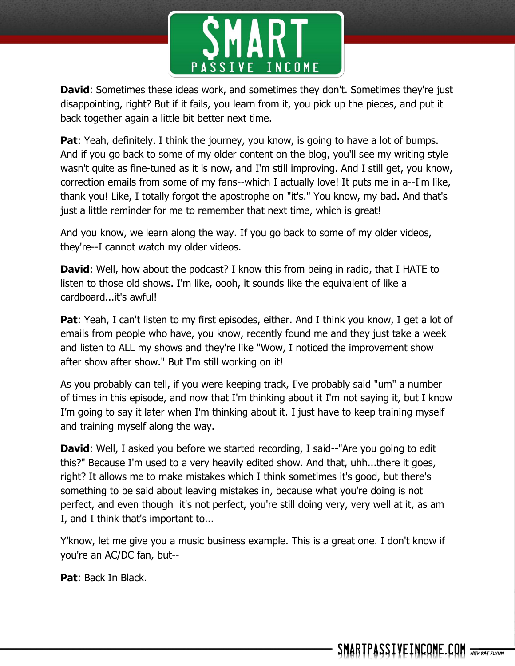

**David:** Sometimes these ideas work, and sometimes they don't. Sometimes they're just disappointing, right? But if it fails, you learn from it, you pick up the pieces, and put it back together again a little bit better next time.

**Pat**: Yeah, definitely. I think the journey, you know, is going to have a lot of bumps. And if you go back to some of my older content on the blog, you'll see my writing style wasn't quite as fine-tuned as it is now, and I'm still improving. And I still get, you know, correction emails from some of my fans--which I actually love! It puts me in a--I'm like, thank you! Like, I totally forgot the apostrophe on "it's." You know, my bad. And that's just a little reminder for me to remember that next time, which is great!

And you know, we learn along the way. If you go back to some of my older videos, they're--I cannot watch my older videos.

**David:** Well, how about the podcast? I know this from being in radio, that I HATE to listen to those old shows. I'm like, oooh, it sounds like the equivalent of like a cardboard...it's awful!

**Pat**: Yeah, I can't listen to my first episodes, either. And I think you know, I get a lot of emails from people who have, you know, recently found me and they just take a week and listen to ALL my shows and they're like "Wow, I noticed the improvement show after show after show." But I'm still working on it!

As you probably can tell, if you were keeping track, I've probably said "um" a number of times in this episode, and now that I'm thinking about it I'm not saying it, but I know I'm going to say it later when I'm thinking about it. I just have to keep training myself and training myself along the way.

**David:** Well, I asked you before we started recording, I said--"Are you going to edit this?" Because I'm used to a very heavily edited show. And that, uhh...there it goes, right? It allows me to make mistakes which I think sometimes it's good, but there's something to be said about leaving mistakes in, because what you're doing is not perfect, and even though it's not perfect, you're still doing very, very well at it, as am I, and I think that's important to...

Y'know, let me give you a music business example. This is a great one. I don't know if you're an AC/DC fan, but--

**Pat**: Back In Black.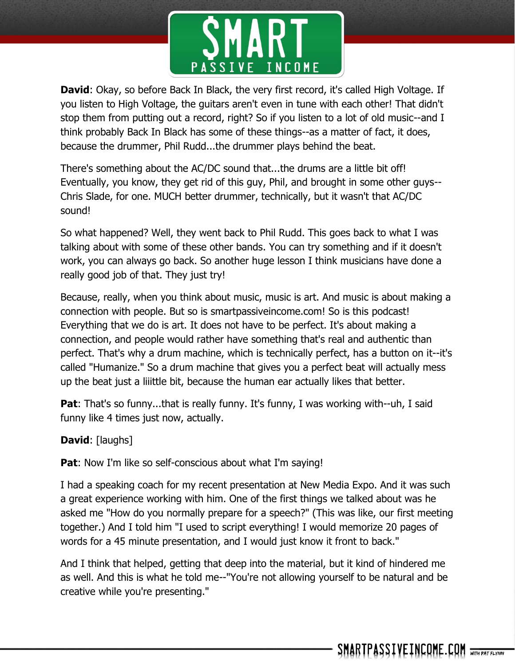

**David**: Okay, so before Back In Black, the very first record, it's called High Voltage. If you listen to High Voltage, the guitars aren't even in tune with each other! That didn't stop them from putting out a record, right? So if you listen to a lot of old music--and I think probably Back In Black has some of these things--as a matter of fact, it does, because the drummer, Phil Rudd...the drummer plays behind the beat.

There's something about the AC/DC sound that...the drums are a little bit off! Eventually, you know, they get rid of this guy, Phil, and brought in some other guys-- Chris Slade, for one. MUCH better drummer, technically, but it wasn't that AC/DC sound!

So what happened? Well, they went back to Phil Rudd. This goes back to what I was talking about with some of these other bands. You can try something and if it doesn't work, you can always go back. So another huge lesson I think musicians have done a really good job of that. They just try!

Because, really, when you think about music, music is art. And music is about making a connection with people. But so is smartpassiveincome.com! So is this podcast! Everything that we do is art. It does not have to be perfect. It's about making a connection, and people would rather have something that's real and authentic than perfect. That's why a drum machine, which is technically perfect, has a button on it--it's called "Humanize." So a drum machine that gives you a perfect beat will actually mess up the beat just a liiittle bit, because the human ear actually likes that better.

**Pat**: That's so funny...that is really funny. It's funny, I was working with--uh, I said funny like 4 times just now, actually.

**David**: [laughs]

**Pat:** Now I'm like so self-conscious about what I'm saying!

I had a speaking coach for my recent presentation at New Media Expo. And it was such a great experience working with him. One of the first things we talked about was he asked me "How do you normally prepare for a speech?" (This was like, our first meeting together.) And I told him "I used to script everything! I would memorize 20 pages of words for a 45 minute presentation, and I would just know it front to back."

And I think that helped, getting that deep into the material, but it kind of hindered me as well. And this is what he told me--"You're not allowing yourself to be natural and be creative while you're presenting."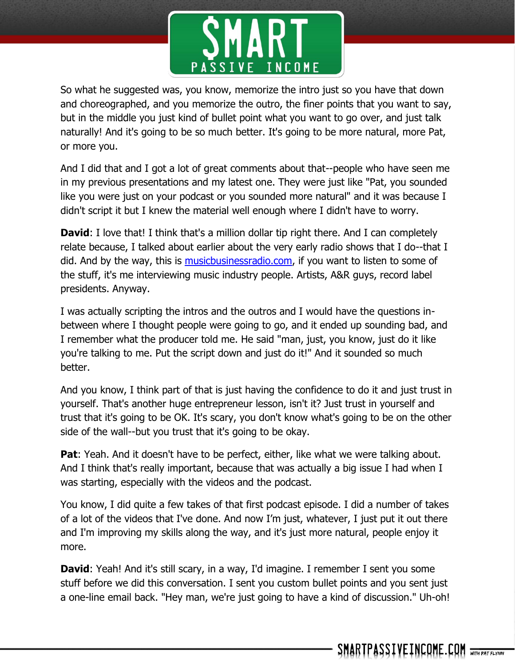

So what he suggested was, you know, memorize the intro just so you have that down and choreographed, and you memorize the outro, the finer points that you want to say, but in the middle you just kind of bullet point what you want to go over, and just talk naturally! And it's going to be so much better. It's going to be more natural, more Pat, or more you.

And I did that and I got a lot of great comments about that--people who have seen me in my previous presentations and my latest one. They were just like "Pat, you sounded like you were just on your podcast or you sounded more natural" and it was because I didn't script it but I knew the material well enough where I didn't have to worry.

**David:** I love that! I think that's a million dollar tip right there. And I can completely relate because, I talked about earlier about the very early radio shows that I do--that I did. And by the way, this is [musicbusinessradio.com,](http://musicbusinessradio.com/) if you want to listen to some of the stuff, it's me interviewing music industry people. Artists, A&R guys, record label presidents. Anyway.

I was actually scripting the intros and the outros and I would have the questions inbetween where I thought people were going to go, and it ended up sounding bad, and I remember what the producer told me. He said "man, just, you know, just do it like you're talking to me. Put the script down and just do it!" And it sounded so much better.

And you know, I think part of that is just having the confidence to do it and just trust in yourself. That's another huge entrepreneur lesson, isn't it? Just trust in yourself and trust that it's going to be OK. It's scary, you don't know what's going to be on the other side of the wall--but you trust that it's going to be okay.

**Pat**: Yeah. And it doesn't have to be perfect, either, like what we were talking about. And I think that's really important, because that was actually a big issue I had when I was starting, especially with the videos and the podcast.

You know, I did quite a few takes of that first podcast episode. I did a number of takes of a lot of the videos that I've done. And now I'm just, whatever, I just put it out there and I'm improving my skills along the way, and it's just more natural, people enjoy it more.

**David:** Yeah! And it's still scary, in a way, I'd imagine. I remember I sent you some stuff before we did this conversation. I sent you custom bullet points and you sent just a one-line email back. "Hey man, we're just going to have a kind of discussion." Uh-oh!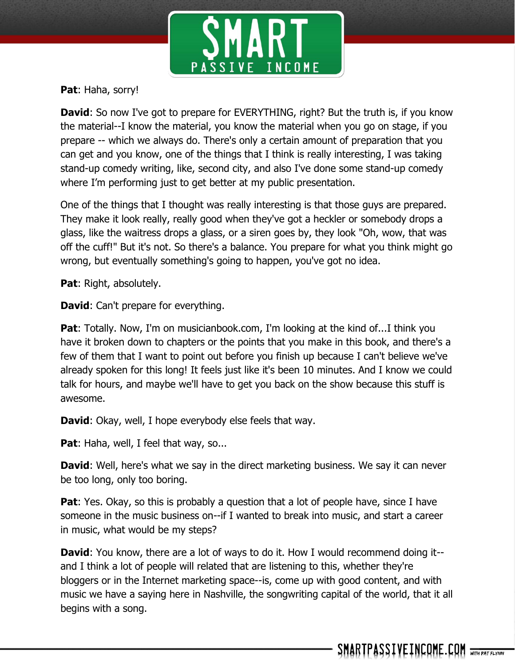

**Pat**: Haha, sorry!

**David:** So now I've got to prepare for EVERYTHING, right? But the truth is, if you know the material--I know the material, you know the material when you go on stage, if you prepare -- which we always do. There's only a certain amount of preparation that you can get and you know, one of the things that I think is really interesting, I was taking stand-up comedy writing, like, second city, and also I've done some stand-up comedy where I'm performing just to get better at my public presentation.

One of the things that I thought was really interesting is that those guys are prepared. They make it look really, really good when they've got a heckler or somebody drops a glass, like the waitress drops a glass, or a siren goes by, they look "Oh, wow, that was off the cuff!" But it's not. So there's a balance. You prepare for what you think might go wrong, but eventually something's going to happen, you've got no idea.

**Pat**: Right, absolutely.

**David:** Can't prepare for everything.

**Pat**: Totally. Now, I'm on musicianbook.com, I'm looking at the kind of...I think you have it broken down to chapters or the points that you make in this book, and there's a few of them that I want to point out before you finish up because I can't believe we've already spoken for this long! It feels just like it's been 10 minutes. And I know we could talk for hours, and maybe we'll have to get you back on the show because this stuff is awesome.

**David**: Okay, well, I hope everybody else feels that way.

**Pat:** Haha, well, I feel that way, so...

**David**: Well, here's what we say in the direct marketing business. We say it can never be too long, only too boring.

**Pat**: Yes. Okay, so this is probably a question that a lot of people have, since I have someone in the music business on--if I wanted to break into music, and start a career in music, what would be my steps?

**David**: You know, there are a lot of ways to do it. How I would recommend doing it-and I think a lot of people will related that are listening to this, whether they're bloggers or in the Internet marketing space--is, come up with good content, and with music we have a saying here in Nashville, the songwriting capital of the world, that it all begins with a song.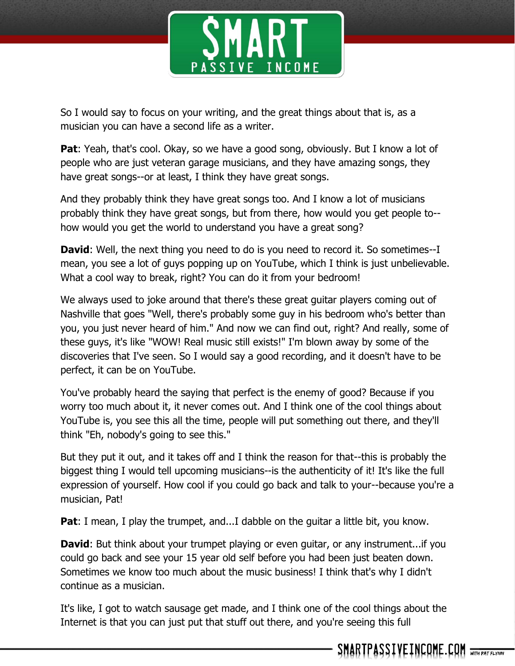

So I would say to focus on your writing, and the great things about that is, as a musician you can have a second life as a writer.

**Pat**: Yeah, that's cool. Okay, so we have a good song, obviously. But I know a lot of people who are just veteran garage musicians, and they have amazing songs, they have great songs--or at least, I think they have great songs.

And they probably think they have great songs too. And I know a lot of musicians probably think they have great songs, but from there, how would you get people to- how would you get the world to understand you have a great song?

**David:** Well, the next thing you need to do is you need to record it. So sometimes--I mean, you see a lot of guys popping up on YouTube, which I think is just unbelievable. What a cool way to break, right? You can do it from your bedroom!

We always used to joke around that there's these great guitar players coming out of Nashville that goes "Well, there's probably some guy in his bedroom who's better than you, you just never heard of him." And now we can find out, right? And really, some of these guys, it's like "WOW! Real music still exists!" I'm blown away by some of the discoveries that I've seen. So I would say a good recording, and it doesn't have to be perfect, it can be on YouTube.

You've probably heard the saying that perfect is the enemy of good? Because if you worry too much about it, it never comes out. And I think one of the cool things about YouTube is, you see this all the time, people will put something out there, and they'll think "Eh, nobody's going to see this."

But they put it out, and it takes off and I think the reason for that--this is probably the biggest thing I would tell upcoming musicians--is the authenticity of it! It's like the full expression of yourself. How cool if you could go back and talk to your--because you're a musician, Pat!

**Pat**: I mean, I play the trumpet, and...I dabble on the guitar a little bit, you know.

**David**: But think about your trumpet playing or even guitar, or any instrument...if you could go back and see your 15 year old self before you had been just beaten down. Sometimes we know too much about the music business! I think that's why I didn't continue as a musician.

It's like, I got to watch sausage get made, and I think one of the cool things about the Internet is that you can just put that stuff out there, and you're seeing this full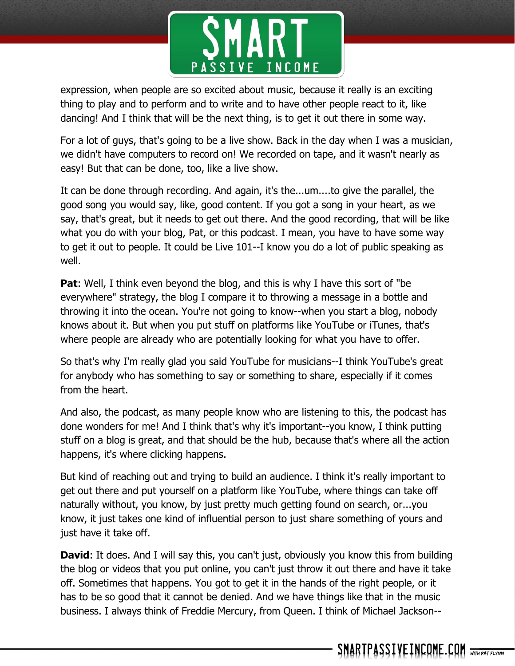

expression, when people are so excited about music, because it really is an exciting thing to play and to perform and to write and to have other people react to it, like dancing! And I think that will be the next thing, is to get it out there in some way.

For a lot of guys, that's going to be a live show. Back in the day when I was a musician, we didn't have computers to record on! We recorded on tape, and it wasn't nearly as easy! But that can be done, too, like a live show.

It can be done through recording. And again, it's the...um....to give the parallel, the good song you would say, like, good content. If you got a song in your heart, as we say, that's great, but it needs to get out there. And the good recording, that will be like what you do with your blog, Pat, or this podcast. I mean, you have to have some way to get it out to people. It could be Live 101--I know you do a lot of public speaking as well.

**Pat:** Well, I think even beyond the blog, and this is why I have this sort of "be everywhere" strategy, the blog I compare it to throwing a message in a bottle and throwing it into the ocean. You're not going to know--when you start a blog, nobody knows about it. But when you put stuff on platforms like YouTube or iTunes, that's where people are already who are potentially looking for what you have to offer.

So that's why I'm really glad you said YouTube for musicians--I think YouTube's great for anybody who has something to say or something to share, especially if it comes from the heart.

And also, the podcast, as many people know who are listening to this, the podcast has done wonders for me! And I think that's why it's important--you know, I think putting stuff on a blog is great, and that should be the hub, because that's where all the action happens, it's where clicking happens.

But kind of reaching out and trying to build an audience. I think it's really important to get out there and put yourself on a platform like YouTube, where things can take off naturally without, you know, by just pretty much getting found on search, or...you know, it just takes one kind of influential person to just share something of yours and just have it take off.

**David:** It does. And I will say this, you can't just, obviously you know this from building the blog or videos that you put online, you can't just throw it out there and have it take off. Sometimes that happens. You got to get it in the hands of the right people, or it has to be so good that it cannot be denied. And we have things like that in the music business. I always think of Freddie Mercury, from Queen. I think of Michael Jackson--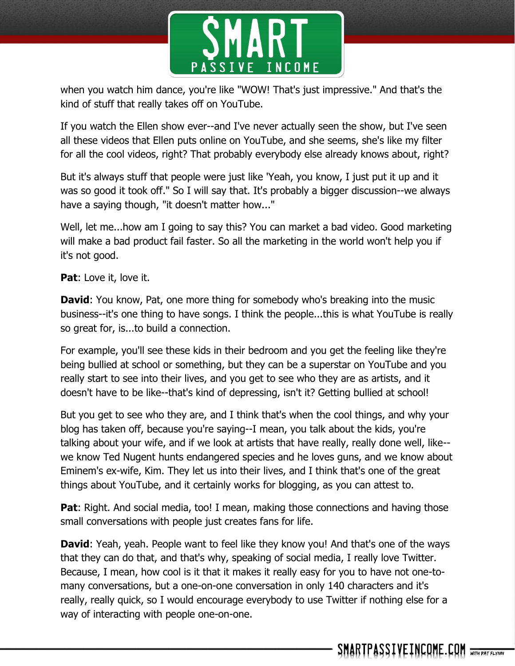

when you watch him dance, you're like "WOW! That's just impressive." And that's the kind of stuff that really takes off on YouTube.

If you watch the Ellen show ever--and I've never actually seen the show, but I've seen all these videos that Ellen puts online on YouTube, and she seems, she's like my filter for all the cool videos, right? That probably everybody else already knows about, right?

But it's always stuff that people were just like 'Yeah, you know, I just put it up and it was so good it took off." So I will say that. It's probably a bigger discussion--we always have a saying though, "it doesn't matter how..."

Well, let me...how am I going to say this? You can market a bad video. Good marketing will make a bad product fail faster. So all the marketing in the world won't help you if it's not good.

**Pat**: Love it, love it.

**David:** You know, Pat, one more thing for somebody who's breaking into the music business--it's one thing to have songs. I think the people...this is what YouTube is really so great for, is...to build a connection.

For example, you'll see these kids in their bedroom and you get the feeling like they're being bullied at school or something, but they can be a superstar on YouTube and you really start to see into their lives, and you get to see who they are as artists, and it doesn't have to be like--that's kind of depressing, isn't it? Getting bullied at school!

But you get to see who they are, and I think that's when the cool things, and why your blog has taken off, because you're saying--I mean, you talk about the kids, you're talking about your wife, and if we look at artists that have really, really done well, like- we know Ted Nugent hunts endangered species and he loves guns, and we know about Eminem's ex-wife, Kim. They let us into their lives, and I think that's one of the great things about YouTube, and it certainly works for blogging, as you can attest to.

**Pat:** Right. And social media, too! I mean, making those connections and having those small conversations with people just creates fans for life.

**David**: Yeah, yeah. People want to feel like they know you! And that's one of the ways that they can do that, and that's why, speaking of social media, I really love Twitter. Because, I mean, how cool is it that it makes it really easy for you to have not one-tomany conversations, but a one-on-one conversation in only 140 characters and it's really, really quick, so I would encourage everybody to use Twitter if nothing else for a way of interacting with people one-on-one.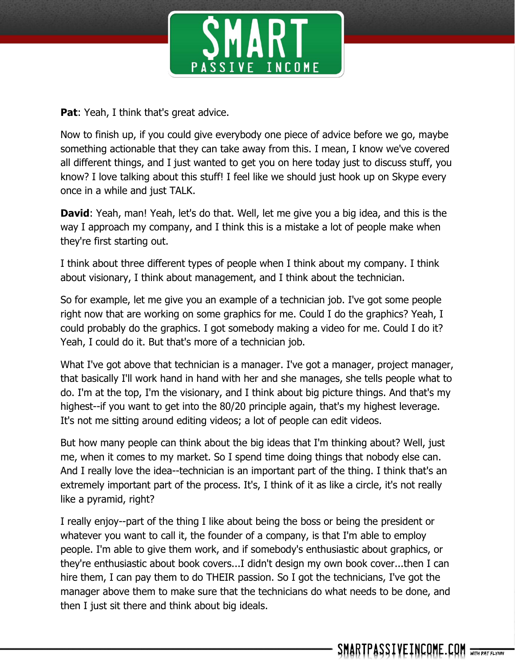

**Pat:** Yeah, I think that's great advice.

Now to finish up, if you could give everybody one piece of advice before we go, maybe something actionable that they can take away from this. I mean, I know we've covered all different things, and I just wanted to get you on here today just to discuss stuff, you know? I love talking about this stuff! I feel like we should just hook up on Skype every once in a while and just TALK.

**David**: Yeah, man! Yeah, let's do that. Well, let me give you a big idea, and this is the way I approach my company, and I think this is a mistake a lot of people make when they're first starting out.

I think about three different types of people when I think about my company. I think about visionary, I think about management, and I think about the technician.

So for example, let me give you an example of a technician job. I've got some people right now that are working on some graphics for me. Could I do the graphics? Yeah, I could probably do the graphics. I got somebody making a video for me. Could I do it? Yeah, I could do it. But that's more of a technician job.

What I've got above that technician is a manager. I've got a manager, project manager, that basically I'll work hand in hand with her and she manages, she tells people what to do. I'm at the top, I'm the visionary, and I think about big picture things. And that's my highest--if you want to get into the 80/20 principle again, that's my highest leverage. It's not me sitting around editing videos; a lot of people can edit videos.

But how many people can think about the big ideas that I'm thinking about? Well, just me, when it comes to my market. So I spend time doing things that nobody else can. And I really love the idea--technician is an important part of the thing. I think that's an extremely important part of the process. It's, I think of it as like a circle, it's not really like a pyramid, right?

I really enjoy--part of the thing I like about being the boss or being the president or whatever you want to call it, the founder of a company, is that I'm able to employ people. I'm able to give them work, and if somebody's enthusiastic about graphics, or they're enthusiastic about book covers...I didn't design my own book cover...then I can hire them, I can pay them to do THEIR passion. So I got the technicians, I've got the manager above them to make sure that the technicians do what needs to be done, and then I just sit there and think about big ideals.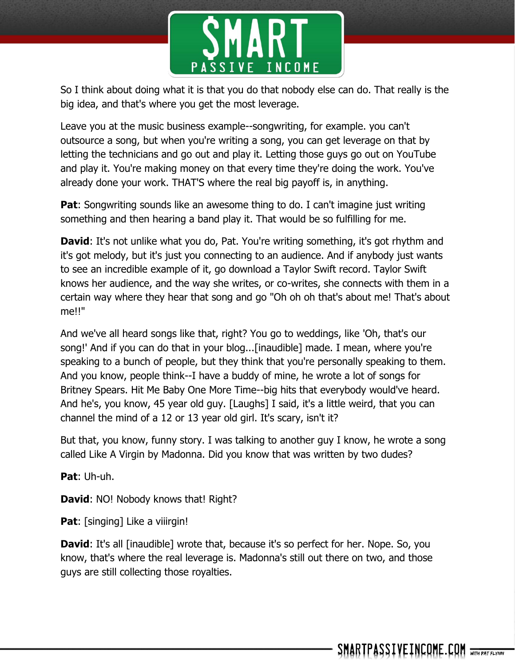

So I think about doing what it is that you do that nobody else can do. That really is the big idea, and that's where you get the most leverage.

Leave you at the music business example--songwriting, for example. you can't outsource a song, but when you're writing a song, you can get leverage on that by letting the technicians and go out and play it. Letting those guys go out on YouTube and play it. You're making money on that every time they're doing the work. You've already done your work. THAT'S where the real big payoff is, in anything.

**Pat:** Songwriting sounds like an awesome thing to do. I can't imagine just writing something and then hearing a band play it. That would be so fulfilling for me.

**David**: It's not unlike what you do, Pat. You're writing something, it's got rhythm and it's got melody, but it's just you connecting to an audience. And if anybody just wants to see an incredible example of it, go download a Taylor Swift record. Taylor Swift knows her audience, and the way she writes, or co-writes, she connects with them in a certain way where they hear that song and go "Oh oh oh that's about me! That's about me!!"

And we've all heard songs like that, right? You go to weddings, like 'Oh, that's our song!' And if you can do that in your blog...[inaudible] made. I mean, where you're speaking to a bunch of people, but they think that you're personally speaking to them. And you know, people think--I have a buddy of mine, he wrote a lot of songs for Britney Spears. Hit Me Baby One More Time--big hits that everybody would've heard. And he's, you know, 45 year old guy. [Laughs] I said, it's a little weird, that you can channel the mind of a 12 or 13 year old girl. It's scary, isn't it?

But that, you know, funny story. I was talking to another guy I know, he wrote a song called Like A Virgin by Madonna. Did you know that was written by two dudes?

**Pat**: Uh-uh.

**David: NO! Nobody knows that! Right?** 

**Pat:** [singing] Like a viiirgin!

**David**: It's all [inaudible] wrote that, because it's so perfect for her. Nope. So, you know, that's where the real leverage is. Madonna's still out there on two, and those guys are still collecting those royalties.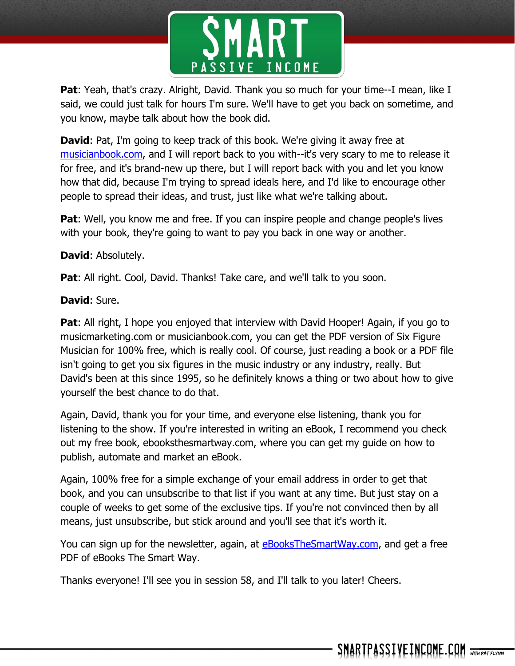

**Pat**: Yeah, that's crazy. Alright, David. Thank you so much for your time--I mean, like I said, we could just talk for hours I'm sure. We'll have to get you back on sometime, and you know, maybe talk about how the book did.

**David:** Pat, I'm going to keep track of this book. We're giving it away free at [musicianbook.com,](http://musicianbook.com/) and I will report back to you with--it's very scary to me to release it for free, and it's brand-new up there, but I will report back with you and let you know how that did, because I'm trying to spread ideals here, and I'd like to encourage other people to spread their ideas, and trust, just like what we're talking about.

**Pat:** Well, you know me and free. If you can inspire people and change people's lives with your book, they're going to want to pay you back in one way or another.

## **David**: Absolutely.

**Pat:** All right. Cool, David. Thanks! Take care, and we'll talk to you soon.

## **David**: Sure.

**Pat:** All right, I hope you enjoyed that interview with David Hooper! Again, if you go to musicmarketing.com or musicianbook.com, you can get the PDF version of Six Figure Musician for 100% free, which is really cool. Of course, just reading a book or a PDF file isn't going to get you six figures in the music industry or any industry, really. But David's been at this since 1995, so he definitely knows a thing or two about how to give yourself the best chance to do that.

Again, David, thank you for your time, and everyone else listening, thank you for listening to the show. If you're interested in writing an eBook, I recommend you check out my free book, ebooksthesmartway.com, where you can get my guide on how to publish, automate and market an eBook.

Again, 100% free for a simple exchange of your email address in order to get that book, and you can unsubscribe to that list if you want at any time. But just stay on a couple of weeks to get some of the exclusive tips. If you're not convinced then by all means, just unsubscribe, but stick around and you'll see that it's worth it.

You can sign up for the newsletter, again, at **eBooksTheSmartWay.com**, and get a free PDF of eBooks The Smart Way.

Thanks everyone! I'll see you in session 58, and I'll talk to you later! Cheers.